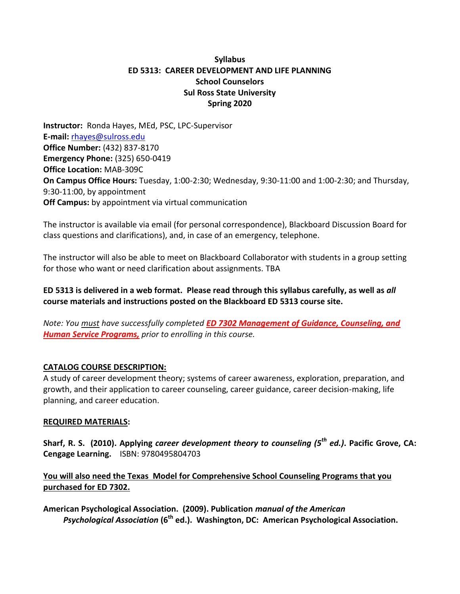# **Syllabus ED 5313: CAREER DEVELOPMENT AND LIFE PLANNING School Counselors Sul Ross State University Spring 2020**

**Instructor:** Ronda Hayes, MEd, PSC, LPC-Supervisor **E-mail:** [rhayes@sulross.edu](mailto:rhayes@sulross.edu) **Office Number:** (432) 837-8170 **Emergency Phone:** (325) 650-0419 **Office Location:** MAB-309C **On Campus Office Hours:** Tuesday, 1:00-2:30; Wednesday, 9:30-11:00 and 1:00-2:30; and Thursday, 9:30-11:00, by appointment **Off Campus:** by appointment via virtual communication

The instructor is available via email (for personal correspondence), Blackboard Discussion Board for class questions and clarifications), and, in case of an emergency, telephone.

The instructor will also be able to meet on Blackboard Collaborator with students in a group setting for those who want or need clarification about assignments. TBA

**ED 5313 is delivered in a web format. Please read through this syllabus carefully, as well as** *all* **course materials and instructions posted on the Blackboard ED 5313 course site.** 

*Note: You must have successfully completed ED 7302 Management of Guidance, Counseling, and Human Service Programs, prior to enrolling in this course.*

# **CATALOG COURSE DESCRIPTION:**

A study of career development theory; systems of career awareness, exploration, preparation, and growth, and their application to career counseling, career guidance, career decision-making, life planning, and career education.

## **REQUIRED MATERIALS:**

**Sharf, R. S. (2010). Applying** *career development theory to counseling (5th ed.)***. Pacific Grove, CA: Cengage Learning.** ISBN: 9780495804703

# **You will also need the Texas Model for Comprehensive School Counseling Programs that you purchased for ED 7302.**

**American Psychological Association. (2009). Publication** *manual of the American Psychological Association* **(6th ed.). Washington, DC: American Psychological Association.**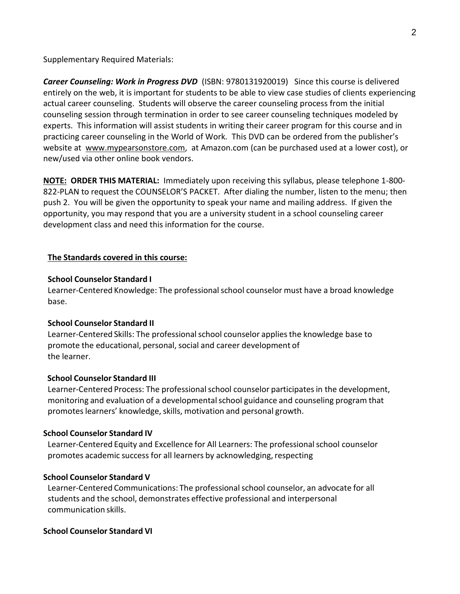Supplementary Required Materials:

*Career Counseling: Work in Progress DVD* (ISBN: 9780131920019) Since this course is delivered entirely on the web, it is important for students to be able to view case studies of clients experiencing actual career counseling. Students will observe the career counseling process from the initial counseling session through termination in order to see career counseling techniques modeled by experts. This information will assist students in writing their career program for this course and in practicing career counseling in the World of Work. This DVD can be ordered from the publisher's website at www.mypearsonstore.com, at Amazon.com (can be purchased used at a lower cost), or new/used via other online book vendors.

**NOTE: ORDER THIS MATERIAL:** Immediately upon receiving this syllabus, please telephone 1-800- 822-PLAN to request the COUNSELOR'S PACKET. After dialing the number, listen to the menu; then push 2. You will be given the opportunity to speak your name and mailing address. If given the opportunity, you may respond that you are a university student in a school counseling career development class and need this information for the course.

## **The Standards covered in this course:**

## **School Counselor Standard I**

Learner-Centered Knowledge: The professionalschool counselor must have a broad knowledge base.

## **School Counselor Standard II**

Learner-Centered Skills: The professionalschool counselor appliesthe knowledge base to promote the educational, personal, social and career development of the learner.

## **School Counselor Standard III**

Learner-Centered Process: The professional school counselor participates in the development, monitoring and evaluation of a developmentalschool guidance and counseling program that promotes learners' knowledge, skills, motivation and personal growth.

## **School Counselor Standard IV**

Learner-Centered Equity and Excellence for All Learners: The professional school counselor promotes academic success for all learners by acknowledging, respecting

## **School Counselor Standard V**

Learner-Centered Communications: The professional school counselor, an advocate for all students and the school, demonstrates effective professional and interpersonal communication skills.

## **School Counselor Standard VI**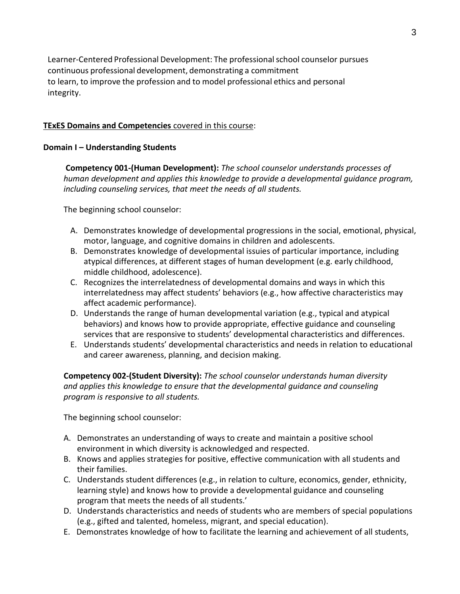Learner-Centered Professional Development: The professionalschool counselor pursues continuous professional development, demonstrating a commitment to learn, to improve the profession and to model professional ethics and personal integrity.

## **TExES Domains and Competencies** covered in this course:

## **Domain I – Understanding Students**

**Competency 001-(Human Development):** *The school counselor understands processes of human development and applies this knowledge to provide a developmental guidance program, including counseling services, that meet the needs of all students.*

The beginning school counselor:

- A. Demonstrates knowledge of developmental progressions in the social, emotional, physical, motor, language, and cognitive domains in children and adolescents.
- B. Demonstrates knowledge of developmental issuies of particular importance, including atypical differences, at different stages of human development (e.g. early childhood, middle childhood, adolescence).
- C. Recognizes the interrelatedness of developmental domains and ways in which this interrelatedness may affect students' behaviors (e.g., how affective characteristics may affect academic performance).
- D. Understands the range of human developmental variation (e.g., typical and atypical behaviors) and knows how to provide appropriate, effective guidance and counseling services that are responsive to students' developmental characteristics and differences.
- E. Understands students' developmental characteristics and needs in relation to educational and career awareness, planning, and decision making.

 **Competency 002-(Student Diversity):** *The school counselor understands human diversity and applies this knowledge to ensure that the developmental guidance and counseling program is responsive to all students.*

- A. Demonstrates an understanding of ways to create and maintain a positive school environment in which diversity is acknowledged and respected.
- B. Knows and applies strategies for positive, effective communication with all students and their families.
- C. Understands student differences (e.g., in relation to culture, economics, gender, ethnicity, learning style) and knows how to provide a developmental guidance and counseling program that meets the needs of all students.'
- D. Understands characteristics and needs of students who are members of special populations (e.g., gifted and talented, homeless, migrant, and special education).
- E. Demonstrates knowledge of how to facilitate the learning and achievement of all students,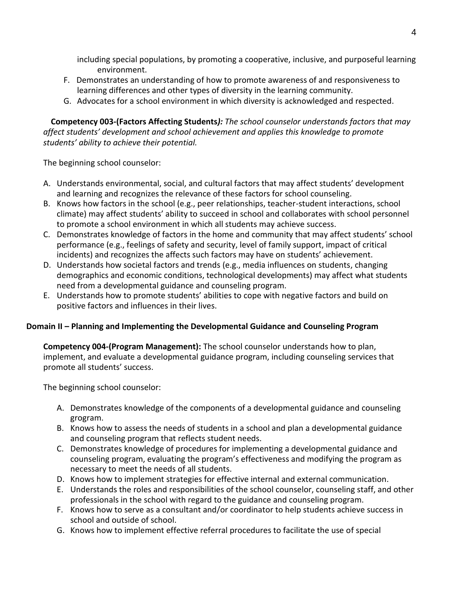including special populations, by promoting a cooperative, inclusive, and purposeful learning environment.

- F. Demonstrates an understanding of how to promote awareness of and responsiveness to learning differences and other types of diversity in the learning community.
- G. Advocates for a school environment in which diversity is acknowledged and respected.

**Competency 003-(Factors Affecting Students***): The school counselor understands factors that may affect students' development and school achievement and applies this knowledge to promote students' ability to achieve their potential.*

The beginning school counselor:

- A. Understands environmental, social, and cultural factors that may affect students' development and learning and recognizes the relevance of these factors for school counseling.
- B. Knows how factors in the school (e.g., peer relationships, teacher-student interactions, school climate) may affect students' ability to succeed in school and collaborates with school personnel to promote a school environment in which all students may achieve success.
- C. Demonstrates knowledge of factors in the home and community that may affect students' school performance (e.g., feelings of safety and security, level of family support, impact of critical incidents) and recognizes the affects such factors may have on students' achievement.
- D. Understands how societal factors and trends (e.g., media influences on students, changing demographics and economic conditions, technological developments) may affect what students need from a developmental guidance and counseling program.
- E. Understands how to promote students' abilities to cope with negative factors and build on positive factors and influences in their lives.

# **Domain II – Planning and Implementing the Developmental Guidance and Counseling Program**

**Competency 004-(Program Management):** The school counselor understands how to plan, implement, and evaluate a developmental guidance program, including counseling services that promote all students' success.

- A. Demonstrates knowledge of the components of a developmental guidance and counseling grogram.
- B. Knows how to assess the needs of students in a school and plan a developmental guidance and counseling program that reflects student needs.
- C. Demonstrates knowledge of procedures for implementing a developmental guidance and counseling program, evaluating the program's effectiveness and modifying the program as necessary to meet the needs of all students.
- D. Knows how to implement strategies for effective internal and external communication.
- E. Understands the roles and responsibilities of the school counselor, counseling staff, and other professionals in the school with regard to the guidance and counseling program.
- F. Knows how to serve as a consultant and/or coordinator to help students achieve success in school and outside of school.
- G. Knows how to implement effective referral procedures to facilitate the use of special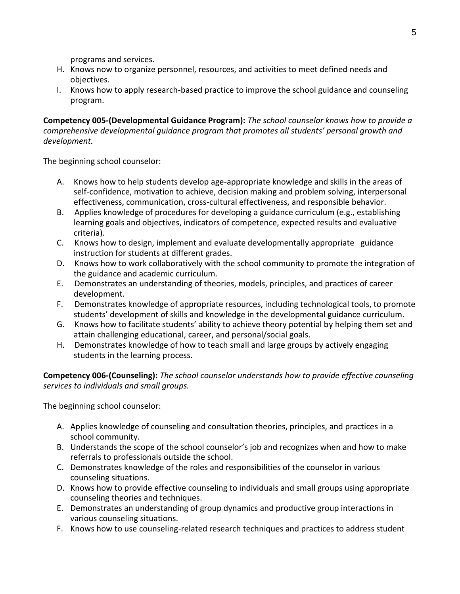programs and services.

- H. Knows now to organize personnel, resources, and activities to meet defined needs and objectives.
- I. Knows how to apply research-based practice to improve the school guidance and counseling program.

**Competency 005-(Developmental Guidance Program):** *The school counselor knows how to provide a comprehensive developmental guidance program that promotes all students' personal growth and development.*

The beginning school counselor:

- A. Knows how to help students develop age-appropriate knowledge and skills in the areas of self-confidence, motivation to achieve, decision making and problem solving, interpersonal effectiveness, communication, cross-cultural effectiveness, and responsible behavior.
- B. Applies knowledge of procedures for developing a guidance curriculum (e.g., establishing learning goals and objectives, indicators of competence, expected results and evaluative criteria).
- C. Knows how to design, implement and evaluate developmentally appropriate guidance instruction for students at different grades.
- D. Knows how to work collaboratively with the school community to promote the integration of the guidance and academic curriculum.
- E. Demonstrates an understanding of theories, models, principles, and practices of career development.
- F. Demonstrates knowledge of appropriate resources, including technological tools, to promote students' development of skills and knowledge in the developmental guidance curriculum.
- G. Knows how to facilitate students' ability to achieve theory potential by helping them set and attain challenging educational, career, and personal/social goals.
- H. Demonstrates knowledge of how to teach small and large groups by actively engaging students in the learning process.

**Competency 006-(Counseling):** *The school counselor understands how to provide effective counseling services to individuals and small groups.*

- A. Applies knowledge of counseling and consultation theories, principles, and practices in a school community.
- B. Understands the scope of the school counselor's job and recognizes when and how to make referrals to professionals outside the school.
- C. Demonstrates knowledge of the roles and responsibilities of the counselor in various counseling situations.
- D. Knows how to provide effective counseling to individuals and small groups using appropriate counseling theories and techniques.
- E. Demonstrates an understanding of group dynamics and productive group interactions in various counseling situations.
- F. Knows how to use counseling-related research techniques and practices to address student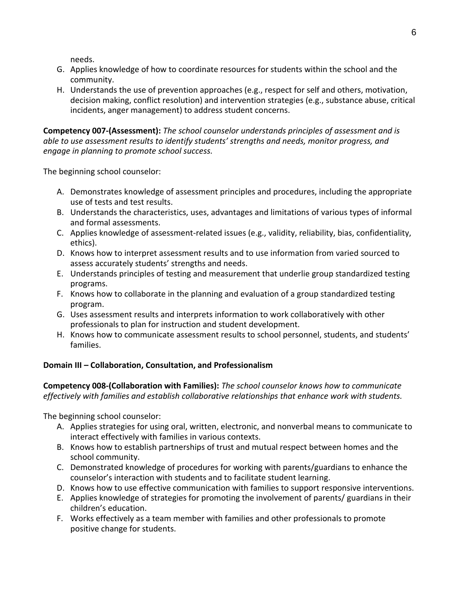needs.

- G. Applies knowledge of how to coordinate resources for students within the school and the community.
- H. Understands the use of prevention approaches (e.g., respect for self and others, motivation, decision making, conflict resolution) and intervention strategies (e.g., substance abuse, critical incidents, anger management) to address student concerns.

**Competency 007-(Assessment):** *The school counselor understands principles of assessment and is able to use assessment results to identify students' strengths and needs, monitor progress, and engage in planning to promote school success.*

The beginning school counselor:

- A. Demonstrates knowledge of assessment principles and procedures, including the appropriate use of tests and test results.
- B. Understands the characteristics, uses, advantages and limitations of various types of informal and formal assessments.
- C. Applies knowledge of assessment-related issues (e.g., validity, reliability, bias, confidentiality, ethics).
- D. Knows how to interpret assessment results and to use information from varied sourced to assess accurately students' strengths and needs.
- E. Understands principles of testing and measurement that underlie group standardized testing programs.
- F. Knows how to collaborate in the planning and evaluation of a group standardized testing program.
- G. Uses assessment results and interprets information to work collaboratively with other professionals to plan for instruction and student development.
- H. Knows how to communicate assessment results to school personnel, students, and students' families.

# **Domain III – Collaboration, Consultation, and Professionalism**

**Competency 008-(Collaboration with Families):** *The school counselor knows how to communicate effectively with families and establish collaborative relationships that enhance work with students.*

- A. Applies strategies for using oral, written, electronic, and nonverbal means to communicate to interact effectively with families in various contexts.
- B. Knows how to establish partnerships of trust and mutual respect between homes and the school community.
- C. Demonstrated knowledge of procedures for working with parents/guardians to enhance the counselor's interaction with students and to facilitate student learning.
- D. Knows how to use effective communication with families to support responsive interventions.
- E. Applies knowledge of strategies for promoting the involvement of parents/ guardians in their children's education.
- F. Works effectively as a team member with families and other professionals to promote positive change for students.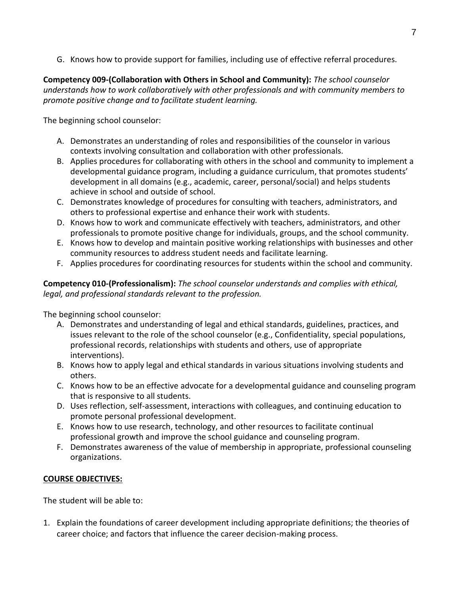G. Knows how to provide support for families, including use of effective referral procedures.

**Competency 009-(Collaboration with Others in School and Community):** *The school counselor understands how to work collaboratively with other professionals and with community members to promote positive change and to facilitate student learning.*

The beginning school counselor:

- A. Demonstrates an understanding of roles and responsibilities of the counselor in various contexts involving consultation and collaboration with other professionals.
- B. Applies procedures for collaborating with others in the school and community to implement a developmental guidance program, including a guidance curriculum, that promotes students' development in all domains (e.g., academic, career, personal/social) and helps students achieve in school and outside of school.
- C. Demonstrates knowledge of procedures for consulting with teachers, administrators, and others to professional expertise and enhance their work with students.
- D. Knows how to work and communicate effectively with teachers, administrators, and other professionals to promote positive change for individuals, groups, and the school community.
- E. Knows how to develop and maintain positive working relationships with businesses and other community resources to address student needs and facilitate learning.
- F. Applies procedures for coordinating resources for students within the school and community.

**Competency 010-(Professionalism):** *The school counselor understands and complies with ethical, legal, and professional standards relevant to the profession.*

The beginning school counselor:

- A. Demonstrates and understanding of legal and ethical standards, guidelines, practices, and issues relevant to the role of the school counselor (e.g., Confidentiality, special populations, professional records, relationships with students and others, use of appropriate interventions).
- B. Knows how to apply legal and ethical standards in various situations involving students and others.
- C. Knows how to be an effective advocate for a developmental guidance and counseling program that is responsive to all students.
- D. Uses reflection, self-assessment, interactions with colleagues, and continuing education to promote personal professional development.
- E. Knows how to use research, technology, and other resources to facilitate continual professional growth and improve the school guidance and counseling program.
- F. Demonstrates awareness of the value of membership in appropriate, professional counseling organizations.

# **COURSE OBJECTIVES:**

The student will be able to:

1. Explain the foundations of career development including appropriate definitions; the theories of career choice; and factors that influence the career decision-making process.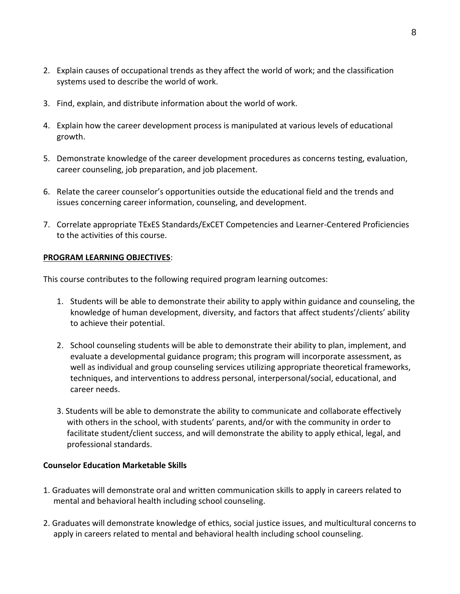- 2. Explain causes of occupational trends as they affect the world of work; and the classification systems used to describe the world of work.
- 3. Find, explain, and distribute information about the world of work.
- 4. Explain how the career development process is manipulated at various levels of educational growth.
- 5. Demonstrate knowledge of the career development procedures as concerns testing, evaluation, career counseling, job preparation, and job placement.
- 6. Relate the career counselor's opportunities outside the educational field and the trends and issues concerning career information, counseling, and development.
- 7. Correlate appropriate TExES Standards/ExCET Competencies and Learner-Centered Proficiencies to the activities of this course.

## **PROGRAM LEARNING OBJECTIVES**:

This course contributes to the following required program learning outcomes:

- 1. Students will be able to demonstrate their ability to apply within guidance and counseling, the knowledge of human development, diversity, and factors that affect students'/clients' ability to achieve their potential.
- 2. School counseling students will be able to demonstrate their ability to plan, implement, and evaluate a developmental guidance program; this program will incorporate assessment, as well as individual and group counseling services utilizing appropriate theoretical frameworks, techniques, and interventions to address personal, interpersonal/social, educational, and career needs.
- 3. Students will be able to demonstrate the ability to communicate and collaborate effectively with others in the school, with students' parents, and/or with the community in order to facilitate student/client success, and will demonstrate the ability to apply ethical, legal, and professional standards.

## **Counselor Education Marketable Skills**

- 1. Graduates will demonstrate oral and written communication skills to apply in careers related to mental and behavioral health including school counseling.
- 2. Graduates will demonstrate knowledge of ethics, social justice issues, and multicultural concerns to apply in careers related to mental and behavioral health including school counseling.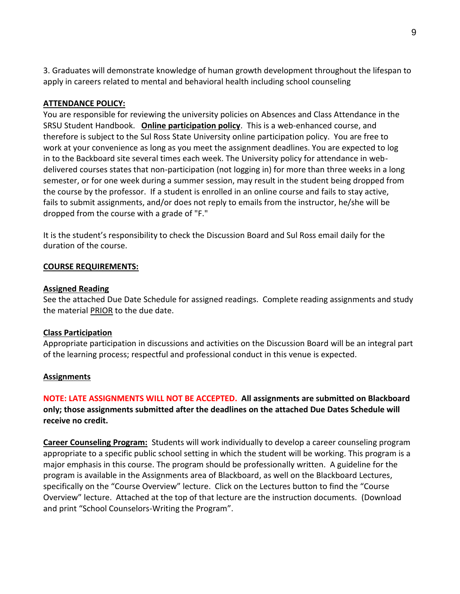3. Graduates will demonstrate knowledge of human growth development throughout the lifespan to apply in careers related to mental and behavioral health including school counseling

## **ATTENDANCE POLICY:**

You are responsible for reviewing the university policies on Absences and Class Attendance in the SRSU Student Handbook. **Online participation policy**. This is a web-enhanced course, and therefore is subject to the Sul Ross State University online participation policy. You are free to work at your convenience as long as you meet the assignment deadlines. You are expected to log in to the Backboard site several times each week. The University policy for attendance in webdelivered courses states that non-participation (not logging in) for more than three weeks in a long semester, or for one week during a summer session, may result in the student being dropped from the course by the professor. If a student is enrolled in an online course and fails to stay active, fails to submit assignments, and/or does not reply to emails from the instructor, he/she will be dropped from the course with a grade of "F."

It is the student's responsibility to check the Discussion Board and Sul Ross email daily for the duration of the course.

#### **COURSE REQUIREMENTS:**

#### **Assigned Reading**

See the attached Due Date Schedule for assigned readings. Complete reading assignments and study the material PRIOR to the due date.

#### **Class Participation**

Appropriate participation in discussions and activities on the Discussion Board will be an integral part of the learning process; respectful and professional conduct in this venue is expected.

#### **Assignments**

**NOTE: LATE ASSIGNMENTS WILL NOT BE ACCEPTED. All assignments are submitted on Blackboard only; those assignments submitted after the deadlines on the attached Due Dates Schedule will receive no credit.**

**Career Counseling Program:** Students will work individually to develop a career counseling program appropriate to a specific public school setting in which the student will be working. This program is a major emphasis in this course. The program should be professionally written. A guideline for the program is available in the Assignments area of Blackboard, as well on the Blackboard Lectures, specifically on the "Course Overview" lecture. Click on the Lectures button to find the "Course Overview" lecture. Attached at the top of that lecture are the instruction documents. (Download and print "School Counselors-Writing the Program".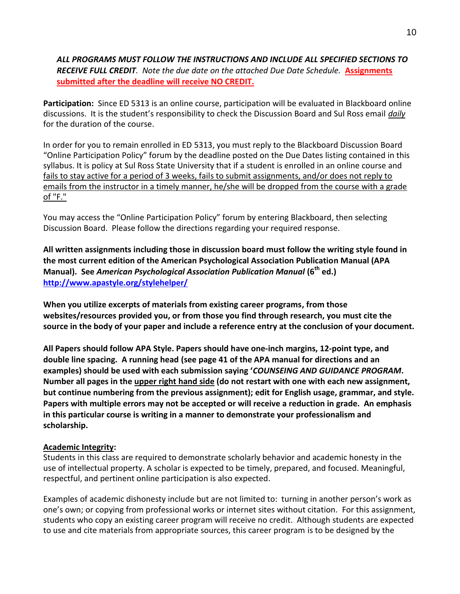## *ALL PROGRAMS MUST FOLLOW THE INSTRUCTIONS AND INCLUDE ALL SPECIFIED SECTIONS TO RECEIVE FULL CREDIT. Note the due date on the attached Due Date Schedule.* **Assignments submitted after the deadline will receive NO CREDIT.**

**Participation:** Since ED 5313 is an online course, participation will be evaluated in Blackboard online discussions. It is the student's responsibility to check the Discussion Board and Sul Ross email *daily* for the duration of the course.

In order for you to remain enrolled in ED 5313, you must reply to the Blackboard Discussion Board "Online Participation Policy" forum by the deadline posted on the Due Dates listing contained in this syllabus. It is policy at Sul Ross State University that if a student is enrolled in an online course and fails to stay active for a period of 3 weeks, fails to submit assignments, and/or does not reply to emails from the instructor in a timely manner, he/she will be dropped from the course with a grade of "F."

You may access the "Online Participation Policy" forum by entering Blackboard, then selecting Discussion Board. Please follow the directions regarding your required response.

**All written assignments including those in discussion board must follow the writing style found in the most current edition of the American Psychological Association Publication Manual (APA Manual). See** *American Psychological Association Publication Manual* **(6th ed.) <http://www.apastyle.org/stylehelper/>** 

**When you utilize excerpts of materials from existing career programs, from those websites/resources provided you, or from those you find through research, you must cite the source in the body of your paper and include a reference entry at the conclusion of your document.**

**All Papers should follow APA Style. Papers should have one-inch margins, 12-point type, and double line spacing. A running head (see page 41 of the APA manual for directions and an examples) should be used with each submission saying '***COUNSEING AND GUIDANCE PROGRAM***. Number all pages in the upper right hand side (do not restart with one with each new assignment, but continue numbering from the previous assignment); edit for English usage, grammar, and style. Papers with multiple errors may not be accepted or will receive a reduction in grade. An emphasis in this particular course is writing in a manner to demonstrate your professionalism and scholarship.**

## **Academic Integrity:**

Students in this class are required to demonstrate scholarly behavior and academic honesty in the use of intellectual property. A scholar is expected to be timely, prepared, and focused. Meaningful, respectful, and pertinent online participation is also expected.

Examples of academic dishonesty include but are not limited to: turning in another person's work as one's own; or copying from professional works or internet sites without citation. For this assignment, students who copy an existing career program will receive no credit. Although students are expected to use and cite materials from appropriate sources, this career program is to be designed by the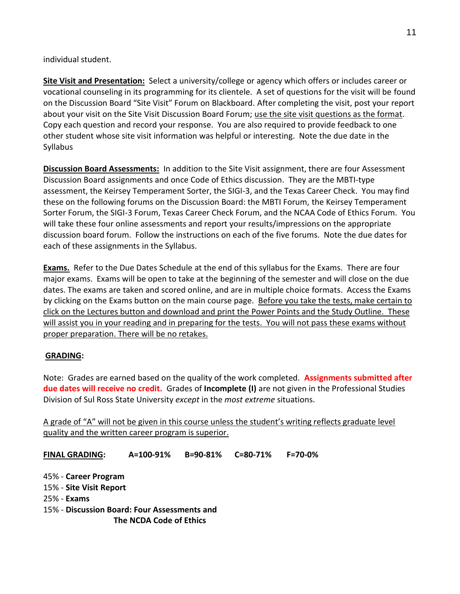individual student.

**Site Visit and Presentation:** Select a university/college or agency which offers or includes career or vocational counseling in its programming for its clientele. A set of questions for the visit will be found on the Discussion Board "Site Visit" Forum on Blackboard. After completing the visit, post your report about your visit on the Site Visit Discussion Board Forum; use the site visit questions as the format. Copy each question and record your response. You are also required to provide feedback to one other student whose site visit information was helpful or interesting. Note the due date in the Syllabus

**Discussion Board Assessments:** In addition to the Site Visit assignment, there are four Assessment Discussion Board assignments and once Code of Ethics discussion. They are the MBTI-type assessment, the Keirsey Temperament Sorter, the SIGI-3, and the Texas Career Check. You may find these on the following forums on the Discussion Board: the MBTI Forum, the Keirsey Temperament Sorter Forum, the SIGI-3 Forum, Texas Career Check Forum, and the NCAA Code of Ethics Forum. You will take these four online assessments and report your results/impressions on the appropriate discussion board forum. Follow the instructions on each of the five forums. Note the due dates for each of these assignments in the Syllabus.

**Exams.** Refer to the Due Dates Schedule at the end of this syllabus for the Exams. There are four major exams. Exams will be open to take at the beginning of the semester and will close on the due dates. The exams are taken and scored online, and are in multiple choice formats. Access the Exams by clicking on the Exams button on the main course page. Before you take the tests, make certain to click on the Lectures button and download and print the Power Points and the Study Outline. These will assist you in your reading and in preparing for the tests. You will not pass these exams without proper preparation. There will be no retakes.

# **GRADING:**

Note: Grades are earned based on the quality of the work completed. **Assignments submitted after due dates will receive no credit.** Grades of **Incomplete (I)** are not given in the Professional Studies Division of Sul Ross State University *except* in the *most extreme* situations.

A grade of "A" will not be given in this course unless the student's writing reflects graduate level quality and the written career program is superior.

**FINAL GRADING: A=100-91% B=90-81% C=80-71% F=70-0%**

45% - **Career Program**

15% - **Site Visit Report**

25% - **Exams**

15% - **Discussion Board: Four Assessments and The NCDA Code of Ethics**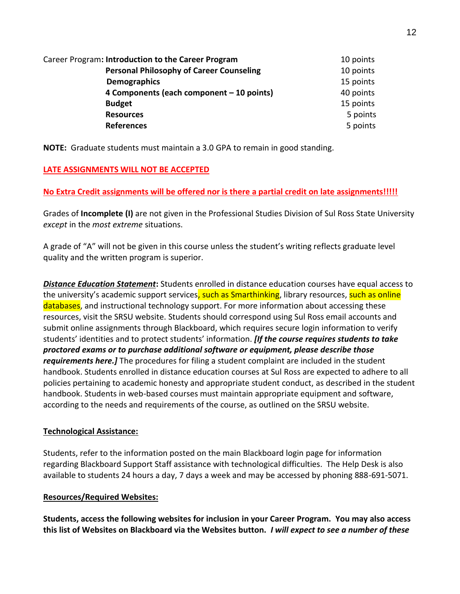| Career Program: Introduction to the Career Program | 10 points |
|----------------------------------------------------|-----------|
| <b>Personal Philosophy of Career Counseling</b>    | 10 points |
| <b>Demographics</b>                                | 15 points |
| 4 Components (each component – 10 points)          | 40 points |
| <b>Budget</b>                                      | 15 points |
| <b>Resources</b>                                   | 5 points  |
| <b>References</b>                                  | 5 points  |

**NOTE:** Graduate students must maintain a 3.0 GPA to remain in good standing.

# **LATE ASSIGNMENTS WILL NOT BE ACCEPTED**

# **No Extra Credit assignments will be offered nor is there a partial credit on late assignments!!!!!**

Grades of **Incomplete (I)** are not given in the Professional Studies Division of Sul Ross State University *except* in the *most extreme* situations.

A grade of "A" will not be given in this course unless the student's writing reflects graduate level quality and the written program is superior.

*Distance Education Statement***:** Students enrolled in distance education courses have equal access to the university's academic support services, such as Smarthinking, library resources, such as online databases, and instructional technology support. For more information about accessing these resources, visit the SRSU website. Students should correspond using Sul Ross email accounts and submit online assignments through Blackboard, which requires secure login information to verify students' identities and to protect students' information. *[If the course requires students to take proctored exams or to purchase additional software or equipment, please describe those requirements here.]* The procedures for filing a student complaint are included in the student handbook. Students enrolled in distance education courses at Sul Ross are expected to adhere to all policies pertaining to academic honesty and appropriate student conduct, as described in the student handbook. Students in web-based courses must maintain appropriate equipment and software, according to the needs and requirements of the course, as outlined on the SRSU website.

# **Technological Assistance:**

Students, refer to the information posted on the main Blackboard login page for information regarding Blackboard Support Staff assistance with technological difficulties. The Help Desk is also available to students 24 hours a day, 7 days a week and may be accessed by phoning 888-691-5071.

# **Resources/Required Websites:**

**Students, access the following websites for inclusion in your Career Program. You may also access this list of Websites on Blackboard via the Websites button.** *I will expect to see a number of these*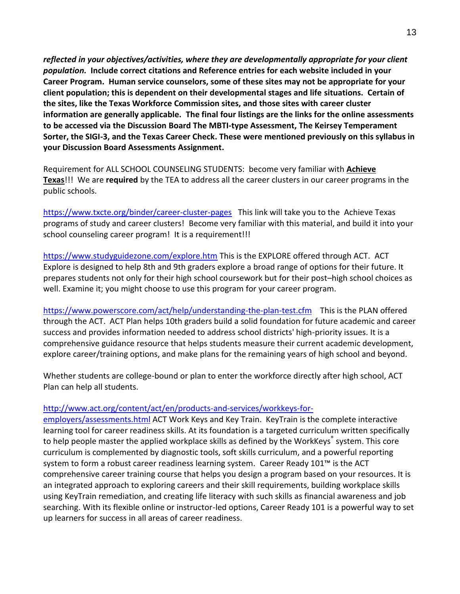*reflected in your objectives/activities, where they are developmentally appropriate for your client population.* **Include correct citations and Reference entries for each website included in your Career Program. Human service counselors, some of these sites may not be appropriate for your client population; this is dependent on their developmental stages and life situations. Certain of the sites, like the Texas Workforce Commission sites, and those sites with career cluster information are generally applicable. The final four listings are the links for the online assessments to be accessed via the Discussion Board The MBTI-type Assessment, The Keirsey Temperament Sorter, the SIGI-3, and the Texas Career Check. These were mentioned previously on this syllabus in your Discussion Board Assessments Assignment.**

Requirement for ALL SCHOOL COUNSELING STUDENTS: become very familiar with **Achieve Texas**!!! We are **required** by the TEA to address all the career clusters in our career programs in the public schools.

<https://www.txcte.org/binder/career-cluster-pages> This link will take you to the Achieve Texas programs of study and career clusters! Become very familiar with this material, and build it into your school counseling career program! It is a requirement!!!

<https://www.studyguidezone.com/explore.htm> This is the EXPLORE offered through ACT. ACT Explore is designed to help 8th and 9th graders explore a broad range of options for their future. It prepares students not only for their high school coursework but for their post–high school choices as well. Examine it; you might choose to use this program for your career program.

<https://www.powerscore.com/act/help/understanding-the-plan-test.cfm> This is the PLAN offered through the ACT. ACT Plan helps 10th graders build a solid foundation for future academic and career success and provides information needed to address school districts' high-priority issues. It is a comprehensive guidance resource that helps students measure their current academic development, explore career/training options, and make plans for the remaining years of high school and beyond.

Whether students are college-bound or plan to enter the workforce directly after high school, ACT Plan can help all students.

# [http://www.act.org/content/act/en/products-and-services/workkeys-for-](http://www.act.org/content/act/en/products-and-services/workkeys-for-employers/assessments.html)

[employers/assessments.html](http://www.act.org/content/act/en/products-and-services/workkeys-for-employers/assessments.html) ACT Work Keys and Key Train. KeyTrain is the complete interactive learning tool for career readiness skills. At its foundation is a targeted curriculum written specifically to help people master the applied workplace skills as defined by the WorkKeys® system. This core curriculum is complemented by diagnostic tools, soft skills curriculum, and a powerful reporting system to form a robust career readiness learning system. Career Ready 101™ is the ACT comprehensive career training course that helps you design a program based on your resources. It is an integrated approach to exploring careers and their skill requirements, building workplace skills using KeyTrain remediation, and creating life literacy with such skills as financial awareness and job searching. With its flexible online or instructor-led options, Career Ready 101 is a powerful way to set up learners for success in all areas of career readiness.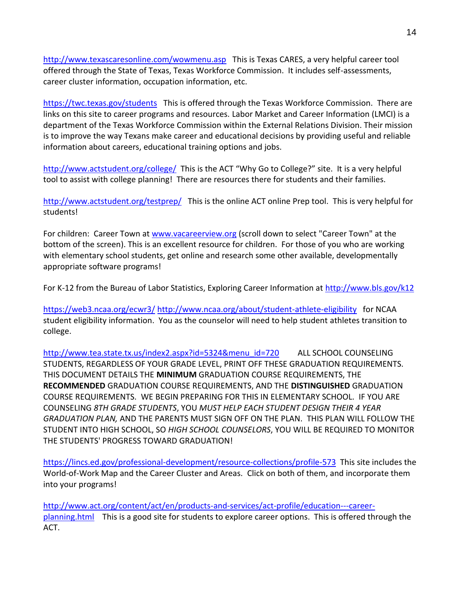<http://www.texascaresonline.com/wowmenu.asp> This is Texas CARES, a very helpful career tool offered through the State of Texas, Texas Workforce Commission. It includes self-assessments, career cluster information, occupation information, etc.

<https://twc.texas.gov/students> This is offered through the Texas Workforce Commission. There are links on this site to career programs and resources. Labor Market and Career Information (LMCI) is a department of the Texas Workforce Commission within the External Relations Division. Their mission is to improve the way Texans make career and educational decisions by providing useful and reliable information about careers, educational training options and jobs.

<http://www.actstudent.org/college/>This is the ACT "Why Go to College?" site. It is a very helpful tool to assist with college planning! There are resources there for students and their families.

<http://www.actstudent.org/testprep/> This is the online ACT online Prep tool. This is very helpful for students!

For children: Career Town at [www.vacareerview.org](http://www.vacareerview.org/) (scroll down to select "Career Town" at the bottom of the screen). This is an excellent resource for children. For those of you who are working with elementary school students, get online and research some other available, developmentally appropriate software programs!

For K-12 from the Bureau of Labor Statistics, Exploring Career Information at<http://www.bls.gov/k12>

<https://web3.ncaa.org/ecwr3/> <http://www.ncaa.org/about/student-athlete-eligibility> for NCAA student eligibility information. You as the counselor will need to help student athletes transition to college.

[http://www.tea.state.tx.us/index2.aspx?id=5324&menu\\_id=720](http://www.tea.state.tx.us/index2.aspx?id=5324&menu_id=720) ALL SCHOOL COUNSELING STUDENTS, REGARDLESS OF YOUR GRADE LEVEL, PRINT OFF THESE GRADUATION REQUIREMENTS. THIS DOCUMENT DETAILS THE **MINIMUM** GRADUATION COURSE REQUIREMENTS, THE **RECOMMENDED** GRADUATION COURSE REQUIREMENTS, AND THE **DISTINGUISHED** GRADUATION COURSE REQUIREMENTS. WE BEGIN PREPARING FOR THIS IN ELEMENTARY SCHOOL. IF YOU ARE COUNSELING *8TH GRADE STUDENTS*, YOU *MUST HELP EACH STUDENT DESIGN THEIR 4 YEAR GRADUATION PLAN,* AND THE PARENTS MUST SIGN OFF ON THE PLAN. THIS PLAN WILL FOLLOW THE STUDENT INTO HIGH SCHOOL, SO *HIGH SCHOOL COUNSELORS*, YOU WILL BE REQUIRED TO MONITOR THE STUDENTS' PROGRESS TOWARD GRADUATION!

<https://lincs.ed.gov/professional-development/resource-collections/profile-573> This site includes the World-of-Work Map and the Career Cluster and Areas. Click on both of them, and incorporate them into your programs!

[http://www.act.org/content/act/en/products-and-services/act-profile/education---career](http://www.act.org/content/act/en/products-and-services/act-profile/education---career-planning.html)[planning.html](http://www.act.org/content/act/en/products-and-services/act-profile/education---career-planning.html) This is a good site for students to explore career options. This is offered through the ACT.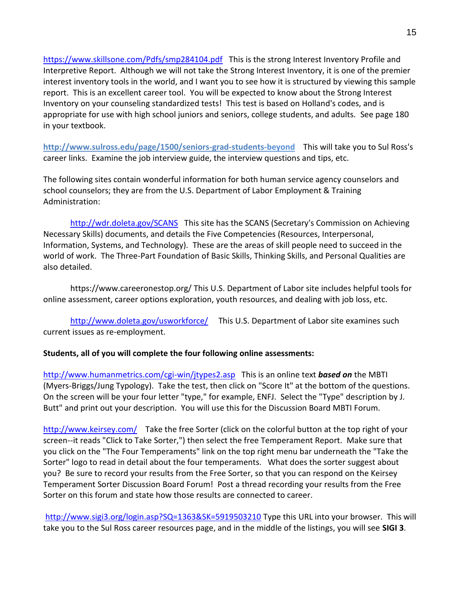<https://www.skillsone.com/Pdfs/smp284104.pdf>This is the strong Interest Inventory Profile and Interpretive Report. Although we will not take the Strong Interest Inventory, it is one of the premier interest inventory tools in the world, and I want you to see how it is structured by viewing this sample report. This is an excellent career tool. You will be expected to know about the Strong Interest Inventory on your counseling standardized tests! This test is based on Holland's codes, and is appropriate for use with high school juniors and seniors, college students, and adults. See page 180 in your textbook.

**http://www.sulross.edu/page/1500/seniors-grad-students-beyond** This will take you to Sul Ross's career links. Examine the job interview guide, the interview questions and tips, etc.

The following sites contain wonderful information for both human service agency counselors and school counselors; they are from the U.S. Department of Labor Employment & Training Administration:

<http://wdr.doleta.gov/SCANS> This site has the SCANS (Secretary's Commission on Achieving Necessary Skills) documents, and details the Five Competencies (Resources, Interpersonal, Information, Systems, and Technology). These are the areas of skill people need to succeed in the world of work. The Three-Part Foundation of Basic Skills, Thinking Skills, and Personal Qualities are also detailed.

https://www.careeronestop.org/ This U.S. Department of Labor site includes helpful tools for online assessment, career options exploration, youth resources, and dealing with job loss, etc.

<http://www.doleta.gov/usworkforce/> This U.S. Department of Labor site examines such current issues as re-employment.

# **Students, all of you will complete the four following online assessments:**

[http://www.humanmetrics.com/cgi-win/jtypes2.asp](http://www.humanmetrics.com/cgi-win/JTypes2.asp) This is an online text *based on* the MBTI (Myers-Briggs/Jung Typology). Take the test, then click on "Score It" at the bottom of the questions. On the screen will be your four letter "type," for example, ENFJ. Select the "Type" description by J. Butt" and print out your description. You will use this for the Discussion Board MBTI Forum.

<http://www.keirsey.com/>Take the free Sorter (click on the colorful button at the top right of your screen--it reads "Click to Take Sorter,") then select the free Temperament Report. Make sure that you click on the "The Four Temperaments" link on the top right menu bar underneath the "Take the Sorter" logo to read in detail about the four temperaments. What does the sorter suggest about you? Be sure to record your results from the Free Sorter, so that you can respond on the Keirsey Temperament Sorter Discussion Board Forum! Post a thread recording your results from the Free Sorter on this forum and state how those results are connected to career.

<http://www.sigi3.org/login.asp?SQ=1363&SK=5919503210> Type this URL into your browser. This will take you to the Sul Ross career resources page, and in the middle of the listings, you will see **SIGI 3**.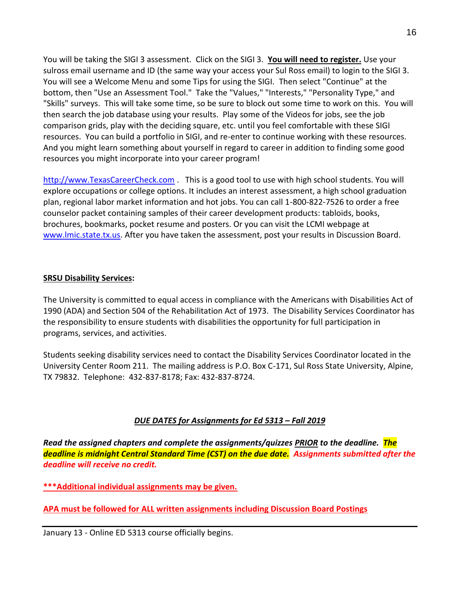You will be taking the SIGI 3 assessment. Click on the SIGI 3. **You will need to register.** Use your sulross email username and ID (the same way your access your Sul Ross email) to login to the SIGI 3. You will see a Welcome Menu and some Tips for using the SIGI. Then select "Continue" at the bottom, then "Use an Assessment Tool." Take the "Values," "Interests," "Personality Type," and "Skills" surveys. This will take some time, so be sure to block out some time to work on this. You will then search the job database using your results. Play some of the Videos for jobs, see the job comparison grids, play with the deciding square, etc. until you feel comfortable with these SIGI resources. You can build a portfolio in SIGI, and re-enter to continue working with these resources. And you might learn something about yourself in regard to career in addition to finding some good resources you might incorporate into your career program!

[http://www.TexasCareerCheck.com](http://www.texascareercheck.com/) . This is a good tool to use with high school students. You will explore occupations or college options. It includes an interest assessment, a high school graduation plan, regional labor market information and hot jobs. You can call 1-800-822-7526 to order a free counselor packet containing samples of their career development products: tabloids, books, brochures, bookmarks, pocket resume and posters. Or you can visit the LCMI webpage at [www.lmic.state.tx.us.](http://www.lmic.state.tx.us/) After you have taken the assessment, post your results in Discussion Board.

## **SRSU Disability Services:**

The University is committed to equal access in compliance with the Americans with Disabilities Act of 1990 (ADA) and Section 504 of the Rehabilitation Act of 1973. The Disability Services Coordinator has the responsibility to ensure students with disabilities the opportunity for full participation in programs, services, and activities.

Students seeking disability services need to contact the Disability Services Coordinator located in the University Center Room 211. The mailing address is P.O. Box C-171, Sul Ross State University, Alpine, TX 79832. Telephone: 432-837-8178; Fax: 432-837-8724.

# *DUE DATES for Assignments for Ed 5313 – Fall 2019*

*Read the assigned chapters and complete the assignments/quizzes PRIOR to the deadline. The deadline is midnight Central Standard Time (CST) on the due date. Assignments submitted after the deadline will receive no credit.*

**\*\*\*Additional individual assignments may be given.**

**APA must be followed for ALL written assignments including Discussion Board Postings**

January 13 - Online ED 5313 course officially begins.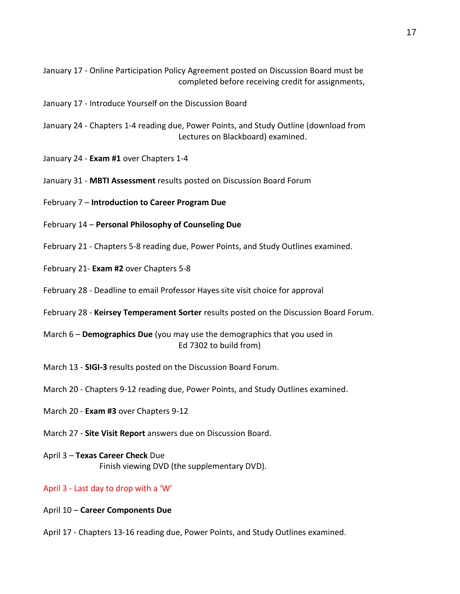January 17 - Online Participation Policy Agreement posted on Discussion Board must be completed before receiving credit for assignments,

- January 17 Introduce Yourself on the Discussion Board
- January 24 Chapters 1-4 reading due, Power Points, and Study Outline (download from Lectures on Blackboard) examined.
- January 24 **Exam #1** over Chapters 1-4
- January 31 **MBTI Assessment** results posted on Discussion Board Forum
- February 7 **Introduction to Career Program Due**
- February 14 **Personal Philosophy of Counseling Due**
- February 21 Chapters 5-8 reading due, Power Points, and Study Outlines examined.
- February 21- **Exam #2** over Chapters 5-8
- February 28 Deadline to email Professor Hayes site visit choice for approval
- February 28 **Keirsey Temperament Sorter** results posted on the Discussion Board Forum.
- March 6 **Demographics Due** (you may use the demographics that you used in Ed 7302 to build from)
- March 13 **SIGI-3** results posted on the Discussion Board Forum.
- March 20 Chapters 9-12 reading due, Power Points, and Study Outlines examined.
- March 20 **Exam #3** over Chapters 9-12
- March 27 **Site Visit Report** answers due on Discussion Board.
- April 3 **Texas Career Check** Due Finish viewing DVD (the supplementary DVD).

#### April 3 - Last day to drop with a 'W'

- April 10 **Career Components Due**
- April 17 Chapters 13-16 reading due, Power Points, and Study Outlines examined.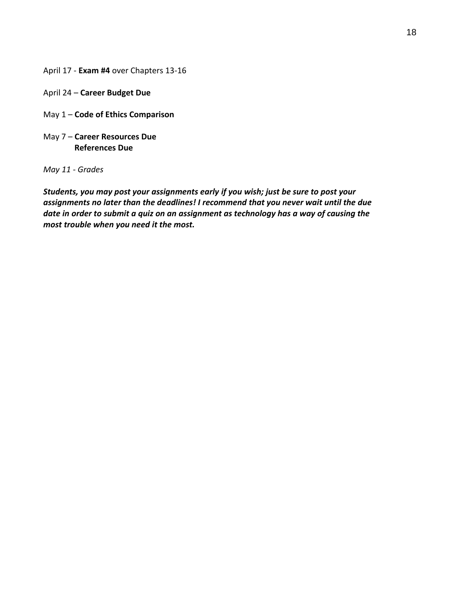April 17 - **Exam #4** over Chapters 13-16

- April 24 **Career Budget Due**
- May 1 **Code of Ethics Comparison**
- May 7 **Career Resources Due References Due**

*May 11 - Grades* 

*Students, you may post your assignments early if you wish; just be sure to post your assignments no later than the deadlines! I recommend that you never wait until the due date in order to submit a quiz on an assignment as technology has a way of causing the most trouble when you need it the most.*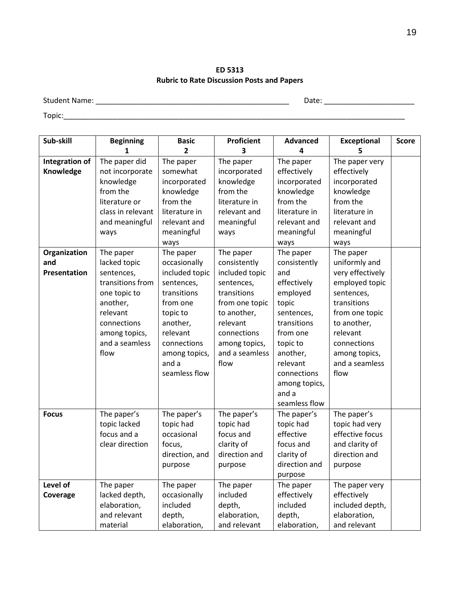**ED 5313 Rubric to Rate Discussion Posts and Papers**

Student Name: \_\_\_\_\_\_\_\_\_\_\_\_\_\_\_\_\_\_\_\_\_\_\_\_\_\_\_\_\_\_\_\_\_\_\_\_\_\_\_\_\_\_\_\_\_\_\_ Date: \_\_\_\_\_\_\_\_\_\_\_\_\_\_\_\_\_\_\_\_\_\_

Topic:\_\_\_\_\_\_\_\_\_\_\_\_\_\_\_\_\_\_\_\_\_\_\_\_\_\_\_\_\_\_\_\_\_\_\_\_\_\_\_\_\_\_\_\_\_\_\_\_\_\_\_\_\_\_\_\_\_\_\_\_\_\_\_\_\_\_\_\_\_\_\_\_\_\_\_\_\_\_\_\_\_\_\_

| Sub-skill                   | <b>Beginning</b>                 | <b>Basic</b>          | Proficient                | <b>Advanced</b>          | <b>Exceptional</b>            | <b>Score</b> |
|-----------------------------|----------------------------------|-----------------------|---------------------------|--------------------------|-------------------------------|--------------|
|                             | 1                                | 2                     | 3                         | 4                        | 5                             |              |
| Integration of<br>Knowledge | The paper did<br>not incorporate | The paper<br>somewhat | The paper<br>incorporated | The paper<br>effectively | The paper very<br>effectively |              |
|                             | knowledge                        | incorporated          | knowledge                 | incorporated             | incorporated                  |              |
|                             | from the                         | knowledge             | from the                  | knowledge                | knowledge                     |              |
|                             | literature or                    | from the              | literature in             | from the                 | from the                      |              |
|                             | class in relevant                | literature in         | relevant and              | literature in            | literature in                 |              |
|                             | and meaningful                   | relevant and          | meaningful                | relevant and             | relevant and                  |              |
|                             | ways                             | meaningful            | ways                      | meaningful               | meaningful                    |              |
|                             |                                  | ways                  |                           | ways                     | ways                          |              |
| Organization                | The paper                        | The paper             | The paper                 | The paper                | The paper                     |              |
| and                         | lacked topic                     | occasionally          | consistently              | consistently             | uniformly and                 |              |
| <b>Presentation</b>         | sentences,                       | included topic        | included topic            | and                      | very effectively              |              |
|                             | transitions from                 | sentences,            | sentences,                | effectively              | employed topic                |              |
|                             | one topic to                     | transitions           | transitions               | employed                 | sentences,                    |              |
|                             | another,                         | from one              | from one topic            | topic                    | transitions                   |              |
|                             | relevant                         | topic to              | to another,               | sentences,               | from one topic                |              |
|                             | connections                      | another,              | relevant                  | transitions              | to another,                   |              |
|                             | among topics,                    | relevant              | connections               | from one                 | relevant                      |              |
|                             | and a seamless                   | connections           | among topics,             | topic to                 | connections                   |              |
|                             | flow                             | among topics,         | and a seamless            | another,                 | among topics,                 |              |
|                             |                                  | and a                 | flow                      | relevant                 | and a seamless                |              |
|                             |                                  | seamless flow         |                           | connections              | flow                          |              |
|                             |                                  |                       |                           | among topics,            |                               |              |
|                             |                                  |                       |                           | and a                    |                               |              |
|                             |                                  |                       |                           | seamless flow            |                               |              |
| <b>Focus</b>                | The paper's                      | The paper's           | The paper's               | The paper's              | The paper's                   |              |
|                             | topic lacked                     | topic had             | topic had                 | topic had                | topic had very                |              |
|                             | focus and a                      | occasional            | focus and                 | effective                | effective focus               |              |
|                             | clear direction                  | focus,                | clarity of                | focus and                | and clarity of                |              |
|                             |                                  | direction, and        | direction and             | clarity of               | direction and                 |              |
|                             |                                  | purpose               | purpose                   | direction and            | purpose                       |              |
|                             |                                  |                       |                           | purpose                  |                               |              |
| Level of                    | The paper                        | The paper             | The paper                 | The paper                | The paper very                |              |
| Coverage                    | lacked depth,                    | occasionally          | included                  | effectively              | effectively                   |              |
|                             | elaboration,                     | included              | depth,                    | included                 | included depth,               |              |
|                             | and relevant                     | depth,                | elaboration,              | depth,                   | elaboration,                  |              |
|                             | material                         | elaboration,          | and relevant              | elaboration,             | and relevant                  |              |